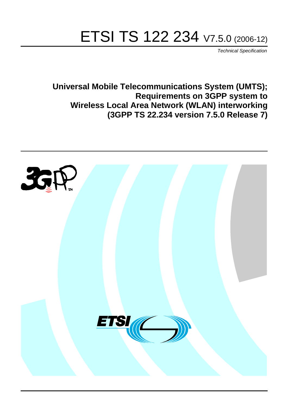# ETSI TS 122 234 V7.5.0 (2006-12)

Technical Specification

**Universal Mobile Telecommunications System (UMTS); Requirements on 3GPP system to Wireless Local Area Network (WLAN) interworking (3GPP TS 22.234 version 7.5.0 Release 7)**

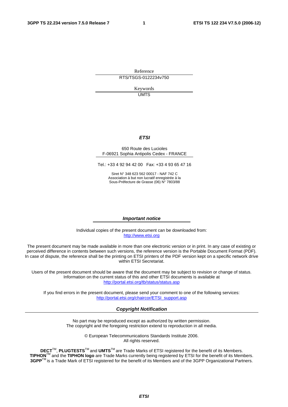Reference RTS/TSGS-0122234v750

> Keywords UMTS

#### **ETSI**

#### 650 Route des Lucioles F-06921 Sophia Antipolis Cedex - FRANCE

Tel.: +33 4 92 94 42 00 Fax: +33 4 93 65 47 16

Siret N° 348 623 562 00017 - NAF 742 C Association à but non lucratif enregistrée à la Sous-Préfecture de Grasse (06) N° 7803/88

#### **Important notice**

Individual copies of the present document can be downloaded from: [http://www.etsi.org](http://www.etsi.org/)

The present document may be made available in more than one electronic version or in print. In any case of existing or perceived difference in contents between such versions, the reference version is the Portable Document Format (PDF). In case of dispute, the reference shall be the printing on ETSI printers of the PDF version kept on a specific network drive within ETSI Secretariat.

Users of the present document should be aware that the document may be subject to revision or change of status. Information on the current status of this and other ETSI documents is available at <http://portal.etsi.org/tb/status/status.asp>

If you find errors in the present document, please send your comment to one of the following services: [http://portal.etsi.org/chaircor/ETSI\\_support.asp](http://portal.etsi.org/chaircor/ETSI_support.asp)

#### **Copyright Notification**

No part may be reproduced except as authorized by written permission. The copyright and the foregoing restriction extend to reproduction in all media.

> © European Telecommunications Standards Institute 2006. All rights reserved.

**DECT**TM, **PLUGTESTS**TM and **UMTS**TM are Trade Marks of ETSI registered for the benefit of its Members. **TIPHON**TM and the **TIPHON logo** are Trade Marks currently being registered by ETSI for the benefit of its Members. **3GPP**TM is a Trade Mark of ETSI registered for the benefit of its Members and of the 3GPP Organizational Partners.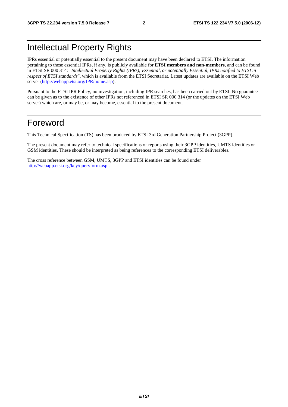## Intellectual Property Rights

IPRs essential or potentially essential to the present document may have been declared to ETSI. The information pertaining to these essential IPRs, if any, is publicly available for **ETSI members and non-members**, and can be found in ETSI SR 000 314: *"Intellectual Property Rights (IPRs); Essential, or potentially Essential, IPRs notified to ETSI in respect of ETSI standards"*, which is available from the ETSI Secretariat. Latest updates are available on the ETSI Web server ([http://webapp.etsi.org/IPR/home.asp\)](http://webapp.etsi.org/IPR/home.asp).

Pursuant to the ETSI IPR Policy, no investigation, including IPR searches, has been carried out by ETSI. No guarantee can be given as to the existence of other IPRs not referenced in ETSI SR 000 314 (or the updates on the ETSI Web server) which are, or may be, or may become, essential to the present document.

### Foreword

This Technical Specification (TS) has been produced by ETSI 3rd Generation Partnership Project (3GPP).

The present document may refer to technical specifications or reports using their 3GPP identities, UMTS identities or GSM identities. These should be interpreted as being references to the corresponding ETSI deliverables.

The cross reference between GSM, UMTS, 3GPP and ETSI identities can be found under <http://webapp.etsi.org/key/queryform.asp>.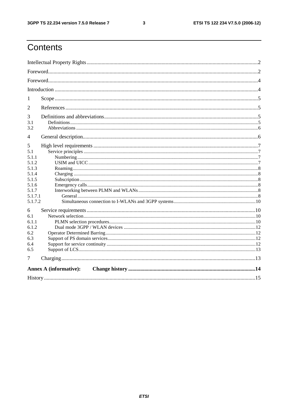#### $\mathbf{3}$

## Contents

| 1       |                               |  |  |  |
|---------|-------------------------------|--|--|--|
| 2       |                               |  |  |  |
| 3       |                               |  |  |  |
| 3.1     |                               |  |  |  |
| 3.2     |                               |  |  |  |
| 4       |                               |  |  |  |
| 5       |                               |  |  |  |
| 5.1     |                               |  |  |  |
| 5.1.1   |                               |  |  |  |
| 5.1.2   |                               |  |  |  |
| 5.1.3   |                               |  |  |  |
| 5.1.4   |                               |  |  |  |
| 5.1.5   |                               |  |  |  |
| 5.1.6   |                               |  |  |  |
| 5.1.7   |                               |  |  |  |
| 5.1.7.1 |                               |  |  |  |
| 5.1.7.2 |                               |  |  |  |
| 6       |                               |  |  |  |
| 6.1     |                               |  |  |  |
| 6.1.1   |                               |  |  |  |
| 6.1.2   |                               |  |  |  |
| 6.2     |                               |  |  |  |
| 6.3     |                               |  |  |  |
| 6.4     |                               |  |  |  |
| 6.5     |                               |  |  |  |
| 7       |                               |  |  |  |
|         | <b>Annex A (informative):</b> |  |  |  |
|         |                               |  |  |  |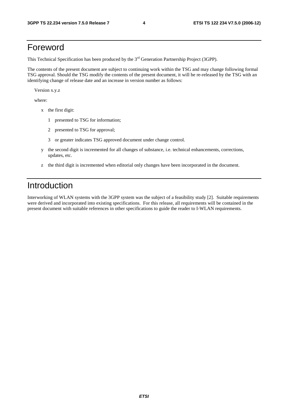### Foreword

This Technical Specification has been produced by the 3<sup>rd</sup> Generation Partnership Project (3GPP).

The contents of the present document are subject to continuing work within the TSG and may change following formal TSG approval. Should the TSG modify the contents of the present document, it will be re-released by the TSG with an identifying change of release date and an increase in version number as follows:

Version x.y.z

where:

- x the first digit:
	- 1 presented to TSG for information;
	- 2 presented to TSG for approval;
	- 3 or greater indicates TSG approved document under change control.
- y the second digit is incremented for all changes of substance, i.e. technical enhancements, corrections, updates, etc.
- z the third digit is incremented when editorial only changes have been incorporated in the document.

### Introduction

Interworking of WLAN systems with the 3GPP system was the subject of a feasibility study [2]. Suitable requirements were derived and incorporated into existing specifications. For this release, all requirements will be contained in the present document with suitable references in other specifications to guide the reader to I-WLAN requirements.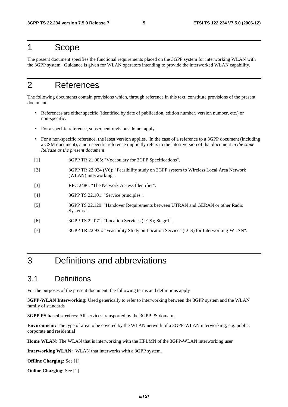### 1 Scope

The present document specifies the functional requirements placed on the 3GPP system for interworking WLAN with the 3GPP system. Guidance is given for WLAN operators intending to provide the interworked WLAN capability.

## 2 References

The following documents contain provisions which, through reference in this text, constitute provisions of the present document.

- References are either specific (identified by date of publication, edition number, version number, etc.) or non-specific.
- For a specific reference, subsequent revisions do not apply.
- For a non-specific reference, the latest version applies. In the case of a reference to a 3GPP document (including a GSM document), a non-specific reference implicitly refers to the latest version of that document *in the same Release as the present document*.
- [1] 3GPP TR 21.905: "Vocabulary for 3GPP Specifications".
- [2] 3GPP TR 22.934 (V6): "Feasibility study on 3GPP system to Wireless Local Area Network (WLAN) interworking".
- [3] RFC 2486: "The Network Access Identifier".
- [4] 3GPP TS 22.101: "Service principles".
- [5] 3GPP TS 22.129: "Handover Requirements between UTRAN and GERAN or other Radio Systems".
- [6] 3GPP TS 22.071: "Location Services (LCS); Stage1".
- [7] 3GPP TR 22.935: "Feasibility Study on Location Services (LCS) for Interworking-WLAN".

## 3 Definitions and abbreviations

### 3.1 Definitions

For the purposes of the present document, the following terms and definitions apply

**3GPP-WLAN Interworking:** Used generically to refer to interworking between the 3GPP system and the WLAN family of standards

**3GPP PS based services**: All services transported by the 3GPP PS domain.

**Environment:** The type of area to be covered by the WLAN network of a 3GPP-WLAN interworking; e.g. public, corporate and residential

**Home WLAN:** The WLAN that is interworking with the HPLMN of the 3GPP-WLAN interworking user

**Interworking WLAN:** WLAN that interworks with a 3GPP system**.** 

**Offline Charging:** See [1]

**Online Charging:** See [1]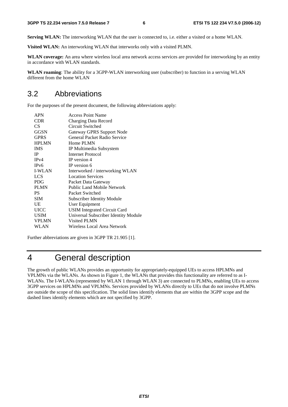**Serving WLAN:** The interworking WLAN that the user is connected to, i.e. either a visited or a home WLAN.

**Visited WLAN:** An interworking WLAN that interworks only with a visited PLMN.

**WLAN coverage:** An area where wireless local area network access services are provided for interworking by an entity in accordance with WLAN standards.

**WLAN roaming**: The ability for a 3GPP-WLAN interworking user (subscriber) to function in a serving WLAN different from the home WLAN

### 3.2 Abbreviations

For the purposes of the present document, the following abbreviations apply:

| <b>Access Point Name</b>             |
|--------------------------------------|
| Charging Data Record                 |
| Circuit Switched                     |
| <b>Gateway GPRS Support Node</b>     |
| General Packet Radio Service         |
| Home PLMN                            |
| IP Multimedia Subsystem              |
| Internet Protocol                    |
| IP version 4                         |
| IP version 6                         |
| Interworked / interworking WLAN      |
| <b>Location Services</b>             |
| Packet Data Gateway                  |
| Public Land Mobile Network           |
| Packet Switched                      |
| <b>Subscriber Identity Module</b>    |
| User Equipment                       |
| <b>USIM Integrated Circuit Card</b>  |
| Universal Subscriber Identity Module |
| Visited PLMN                         |
| Wireless Local Area Network          |
|                                      |

Further abbreviations are given in 3GPP TR 21.905 [1].

## 4 General description

The growth of public WLANs provides an opportunity for appropriately-equipped UEs to access HPLMNs and VPLMNs via the WLANs. As shown in Figure 1, the WLANs that provides this functionality are referred to as I-WLANs. The I-WLANs (represented by WLAN 1 through WLAN 3) are connected to PLMNs, enabling UEs to access 3GPP services on HPLMNs and VPLMNs. Services provided by WLANs directly to UEs that do not involve PLMNs are outside the scope of this specification. The solid lines identify elements that are within the 3GPP scope and the dashed lines identify elements which are not specified by 3GPP.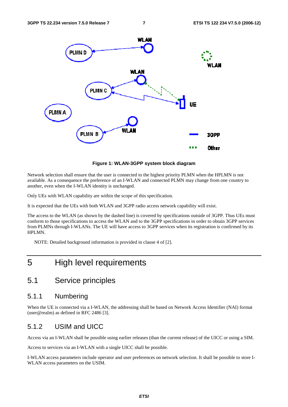

**Figure 1: WLAN-3GPP system block diagram** 

Network selection shall ensure that the user is connected to the highest priority PLMN when the HPLMN is not available. As a consequence the preference of an I-WLAN and connected PLMN may change from one country to another, even when the I-WLAN identity is unchanged.

Only UEs with WLAN capability are within the scope of this specification.

It is expected that the UEs with both WLAN and 3GPP radio access network capability will exist.

The access to the WLAN (as shown by the dashed line) is covered by specifications outside of 3GPP. Thus UEs must conform to those specifications to access the WLAN and to the 3GPP specifications in order to obtain 3GPP services from PLMNs through I-WLANs. The UE will have access to 3GPP services when its registration is confirmed by its HPLMN.

NOTE: Detailed background information is provided in clause 4 of [2].

### 5 High level requirements

### 5.1 Service principles

#### 5.1.1 Numbering

When the UE is connected via a I-WLAN, the addressing shall be based on Network Access Identifier (NAI) format (user@realm) as defined in RFC 2486 [3].

#### 5.1.2 USIM and UICC

Access via an I-WLAN shall be possible using earlier releases (than the current release) of the UICC or using a SIM.

Access to services via an I-WLAN with a single UICC shall be possible.

I-WLAN access parameters include operator and user preferences on network selection. It shall be possible to store I-WLAN access parameters on the USIM.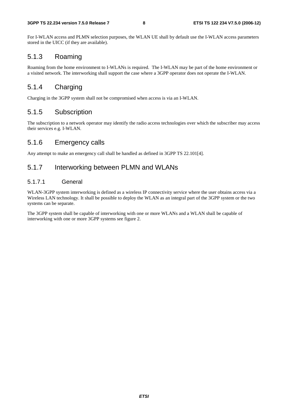For I-WLAN access and PLMN selection purposes, the WLAN UE shall by default use the I-WLAN access parameters stored in the UICC (if they are available).

### 5.1.3 Roaming

Roaming from the home environment to I-WLANs is required. The I-WLAN may be part of the home environment or a visited network. The interworking shall support the case where a 3GPP operator does not operate the I-WLAN.

### 5.1.4 Charging

Charging in the 3GPP system shall not be compromised when access is via an I-WLAN.

#### 5.1.5 Subscription

The subscription to a network operator may identify the radio access technologies over which the subscriber may access their services e.g. I-WLAN.

#### 5.1.6 Emergency calls

Any attempt to make an emergency call shall be handled as defined in 3GPP TS 22.101[4].

#### 5.1.7 Interworking between PLMN and WLANs

#### 5.1.7.1 General

WLAN-3GPP system interworking is defined as a wireless IP connectivity service where the user obtains access via a Wireless LAN technology. It shall be possible to deploy the WLAN as an integral part of the 3GPP system or the two systems can be separate.

The 3GPP system shall be capable of interworking with one or more WLANs and a WLAN shall be capable of interworking with one or more 3GPP systems see figure 2.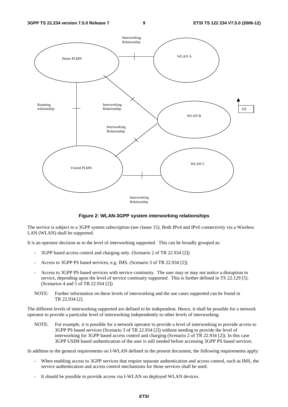

**Figure 2: WLAN-3GPP system interworking relationships** 

The service is subject to a 3GPP system subscription (see clause 15). Both IPv4 and IPv6 connectivity via a Wireless LAN (WLAN) shall be supported.

It is an operator decision as to the level of interworking supported. This can be broadly grouped as:

- 3GPP based access control and charging only. (Scenario 2 of TR 22.934 [2])
- Access to 3GPP PS based services, e.g. IMS. (Scenario 3 of TR 22.934 [2])
- Access to 3GPP PS based services with service continuity. The user may or may not notice a disruption in service, depending upon the level of service continuity supported. This is further defined in TS 22.129 [5]. (Scenarios 4 and 5 of TR 22.934 [2])
- NOTE: Further information on these levels of interworking and the use cases supported can be found in TR 22.934 [2].

The different levels of interworking supported are defined to be independent. Hence, it shall be possible for a network operator to provide a particular level of interworking independently to other levels of interworking.

NOTE: For example, it is possible for a network operator to provide a level of interworking to provide access to 3GPP PS based services (Scenario 3 of TR 22.934 [2]) without needing to provide the level of interworking for 3GPP based access control and charging (Scenario 2 of TR 22.934 [2]). In this case 3GPP USIM based authentication of the user is still needed before accessing 3GPP PS based services.

In addition to the general requirements on I-WLAN defined in the present document, the following requirements apply:

- When enabling access to 3GPP services that require separate authentication and access control, such as IMS, the service authentication and access control mechanisms for those services shall be used.
- It should be possible to provide access via I-WLAN on deployed WLAN devices.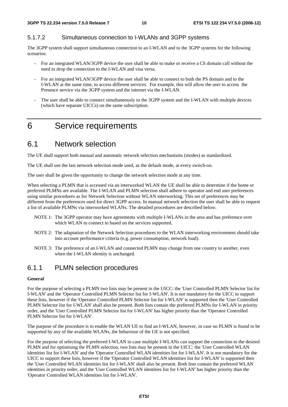#### 5.1.7.2 Simultaneous connection to I-WLANs and 3GPP systems

The 3GPP system shall support simultaneous connection to an I-WLAN and to the 3GPP systems for the following scenarios:

- For an integrated WLAN/3GPP device the user shall be able to make or receive a CS domain call without the need to drop the connection to the I-WLAN and visa versa.
- For an integrated WLAN/3GPP device the user shall be able to connect to both the PS domain and to the I-WLAN at the same time, to access different services. For example, this will allow the user to access the Presence service via the 3GPP system and the internet via the I-WLAN.
- The user shall be able to connect simultaneously to the 3GPP system and the I-WLAN with multiple devices (which have separate UICCs) on the same subscription.

## 6 Service requirements

### 6.1 Network selection

The UE shall support both manual and automatic network selection mechanisms (modes) as standardized.

The UE shall use the last network selection mode used, as the default mode, at every switch-on.

The user shall be given the opportunity to change the network selection mode at any time.

When selecting a PLMN that is accessed via an interworked WLAN the UE shall be able to determine if the home or preferred PLMNs are available. The I-WLAN and PLMN selection shall adhere to operator and end user preferences using similar procedures as for Network Selection without WLAN interworking. This set of preferences may be different from the preferences used for direct 3GPP access. In manual network selection the user shall be able to request a list of available PLMNs via interworked WLANs. The detailed procedures are described below.

- NOTE 1: The 3GPP operator may have agreements with multiple I-WLANs in the area and has preference over which WLAN to connect to based on the services supported.
- NOTE 2: The adaptation of the Network Selection procedures to the WLAN interworking environment should take into account performance criteria (e.g. power consumption, network load).
- NOTE 3: The preference of an I-WLAN and connected PLMN may change from one country to another, even when the I-WLAN identity is unchanged.

#### 6.1.1 PLMN selection procedures

#### **General**

For the purpose of selecting a PLMN two lists may be present in the UICC: the 'User Controlled PLMN Selector list for I-WLAN' and the 'Operator Controlled PLMN Selector list for I-WLAN'. It is not mandatory for the UICC to support these lists, however if the 'Operator Controlled PLMN Selector list for I-WLAN' is supported then the 'User Controlled PLMN Selector list for I-WLAN' shall also be present. Both lists contain the preferred PLMNs for I-WLAN in priority order, and the 'User Controlled PLMN Selector list for I-WLAN' has higher priority than the 'Operator Controlled PLMN Selector list for I-WLAN'.

The purpose of the procedure is to enable the WLAN UE to find an I-WLAN, however, in case no PLMN is found to be supported by any of the available WLANs, the behaviour of the UE is not specified.

For the purpose of selecting the preferred I-WLAN in case multiple I-WLANs can support the connection to the desired PLMN and for optimising the PLMN selection, two lists may be present in the UICC: the 'User Controlled WLAN identities list for I-WLAN' and the 'Operator Controlled WLAN identities list for I-WLAN'. It is not mandatory for the UICC to support these lists, however if the 'Operator Controlled WLAN identities list for I-WLAN' is supported then the 'User Controlled WLAN identities list for I-WLAN' shall also be present. Both lists contain the preferred WLAN identities in priority order, and the 'User Controlled WLAN identities list for I-WLAN' has higher priority than the 'Operator Controlled WLAN identities list for I-WLAN'.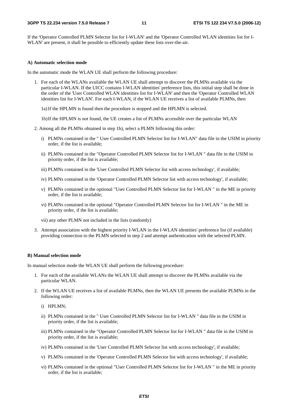If the 'Operator Controlled PLMN Selector list for I-WLAN' and the 'Operator Controlled WLAN identities list for I-WLAN' are present, it shall be possible to efficiently update these lists over-the-air.

#### **A) Automatic selection mode**

In the automatic mode the WLAN UE shall perform the following procedure:

- 1. For each of the WLANs available the WLAN UE shall attempt to discover the PLMNs available via the particular I-WLAN. If the UICC contains I-WLAN identities' preference lists, this initial step shall be done in the order of the 'User Controlled WLAN identities list for I-WLAN' and then the 'Operator Controlled WLAN identities list for I-WLAN'. For each I-WLAN, if the WLAN UE receives a list of available PLMNs, then
	- 1a) If the HPLMN is found then the procedure is stopped and the HPLMN is selected.
	- 1b) If the HPLMN is not found, the UE creates a list of PLMNs accessible over the particular WLAN
- 2. Among all the PLMNs obtained in step 1b), select a PLMN following this order:
	- i) PLMNs contained in the " User Controlled PLMN Selector list for I-WLAN" data file in the USIM in priority order, if the list is available;
	- ii) PLMNs contained in the "Operator Controlled PLMN Selector list for I-WLAN " data file in the USIM in priority order, if the list is available;
	- iii) PLMNs contained in the 'User Controlled PLMN Selector list with access technology', if available;
	- iv) PLMNs contained in the 'Operator Controlled PLMN Selector list with access technology', if available;
	- v) PLMNs contained in the optional "User Controlled PLMN Selector list for I-WLAN " in the ME in priority order, if the list is available;
	- vi) PLMNs contained in the optional "Operator Controlled PLMN Selector list for I-WLAN " in the ME in priority order, if the list is available;
	- vii) any other PLMN not included in the lists (randomly)
- 3. Attempt association with the highest priority I-WLAN in the I-WLAN identities' preference list (if available) providing connection to the PLMN selected in step 2 and attempt authentication with the selected PLMN.

#### **B) Manual selection mode**

In manual selection mode the WLAN UE shall perform the following procedure:

- 1. For each of the available WLANs the WLAN UE shall attempt to discover the PLMNs available via the particular WLAN.
- 2. If the WLAN UE receives a list of available PLMNs, then the WLAN UE presents the available PLMNs in the following order:
	- i) HPLMN;
	- ii) PLMNs contained in the " User Controlled PLMN Selector list for I-WLAN " data file in the USIM in priority order, if the list is available;
	- iii) PLMNs contained in the "Operator Controlled PLMN Selector list for I-WLAN " data file in the USIM in priority order, if the list is available;
	- iv) PLMNs contained in the 'User Controlled PLMN Selector list with access technology', if available;
	- v) PLMNs contained in the 'Operator Controlled PLMN Selector list with access technology', if available;
	- vi) PLMNs contained in the optional "User Controlled PLMN Selector list for I-WLAN " in the ME in priority order, if the list is available;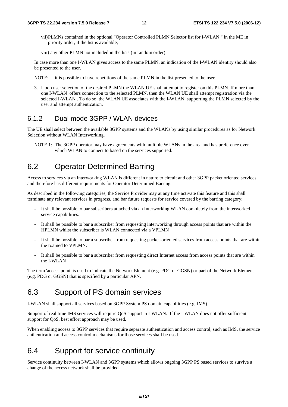- vii) PLMNs contained in the optional "Operator Controlled PLMN Selector list for I-WLAN " in the ME in priority order, if the list is available;
- viii) any other PLMN not included in the lists (in random order)

In case more than one I-WLAN gives access to the same PLMN, an indication of the I-WLAN identity should also be presented to the user.

NOTE: it is possible to have repetitions of the same PLMN in the list presented to the user

3. Upon user selection of the desired PLMN the WLAN UE shall attempt to register on this PLMN. If more than one I-WLAN offers connection to the selected PLMN, then the WLAN UE shall attempt registration via the selected I-WLAN . To do so, the WLAN UE associates with the I-WLAN supporting the PLMN selected by the user and attempt authentication.

#### 6.1.2 Dual mode 3GPP / WLAN devices

The UE shall select between the available 3GPP systems and the WLANs by using similar procedures as for Network Selection without WLAN Interworking.

NOTE 1: The 3GPP operator may have agreements with multiple WLANs in the area and has preference over which WLAN to connect to based on the services supported.

### 6.2 Operator Determined Barring

Access to services via an interworking WLAN is different in nature to circuit and other 3GPP packet oriented services, and therefore has different requirements for Operator Determined Barring.

As described in the following categories, the Service Provider may at any time activate this feature and this shall terminate any relevant services in progress, and bar future requests for service covered by the barring category:

- It shall be possible to bar subscribers attached via an Interworking WLAN completely from the interworked service capabilities.
- It shall be possible to bar a subscriber from requesting interworking through access points that are within the HPLMN whilst the subscriber is WLAN connected via a VPLMN
- It shall be possible to bar a subscriber from requesting packet-oriented services from access points that are within the roamed to VPLMN.
- It shall be possible to bar a subscriber from requesting direct Internet access from access points that are within the I-WLAN

The term 'access point' is used to indicate the Network Element (e.g. PDG or GGSN) or part of the Network Element (e.g. PDG or GGSN) that is specified by a particular APN.

### 6.3 Support of PS domain services

I-WLAN shall support all services based on 3GPP System PS domain capabilities (e.g. IMS).

Support of real time IMS services will require QoS support in I-WLAN. If the I-WLAN does not offer sufficient support for QoS, best effort approach may be used.

When enabling access to 3GPP services that require separate authentication and access control, such as IMS, the service authentication and access control mechanisms for those services shall be used.

### 6.4 Support for service continuity

Service continuity between I-WLAN and 3GPP systems which allows ongoing 3GPP PS based services to survive a change of the access network shall be provided.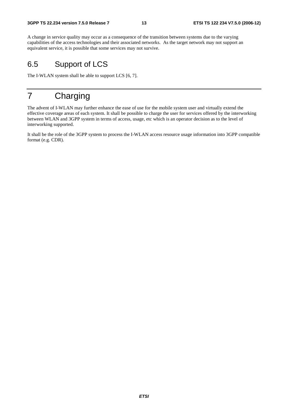A change in service quality may occur as a consequence of the transition between systems due to the varying capabilities of the access technologies and their associated networks. As the target network may not support an equivalent service, it is possible that some services may not survive.

### 6.5 Support of LCS

The I-WLAN system shall be able to support LCS [6, 7].

## 7 Charging

The advent of I-WLAN may further enhance the ease of use for the mobile system user and virtually extend the effective coverage areas of each system. It shall be possible to charge the user for services offered by the interworking between WLAN and 3GPP system in terms of access, usage, etc which is an operator decision as to the level of interworking supported.

It shall be the role of the 3GPP system to process the I-WLAN access resource usage information into 3GPP compatible format (e.g. CDR).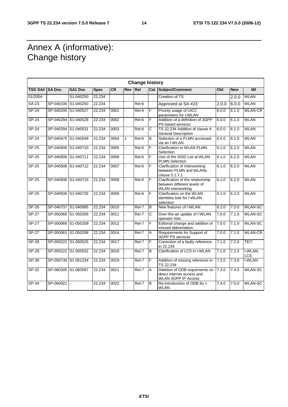## Annex A (informative): Change history

| <b>Change history</b> |           |                     |             |      |                |         |                       |                                                                                              |       |            |                |
|-----------------------|-----------|---------------------|-------------|------|----------------|---------|-----------------------|----------------------------------------------------------------------------------------------|-------|------------|----------------|
| TSG SA# SA Doc.       |           | <b>SA1 Doc</b>      | <b>Spec</b> | CR   | Rev            | Rel     |                       | <b>Cat Subject/Comment</b>                                                                   | Old   | <b>New</b> | WI             |
| 01/2004               |           | S1-040250           | 22.234      |      |                |         |                       | <b>Creation of TS</b>                                                                        |       | 2.0.0      | <b>WLAN</b>    |
| <b>SA-23</b>          | SP-040100 | S1-040250           | 22.234      |      |                | $Rel-6$ |                       | Approved at SA #23                                                                           | 2.0.0 | 6.0.0      | <b>WLAN</b>    |
| $SP-24$               |           | SP-040295 S1-040527 | 22.234      | 0001 |                | Rel-6   | F                     | Priority usage of UICC<br>parameters for I-WLAN                                              | 6.0.0 | 6.1.0      | <b>WLAN-CR</b> |
| <b>SP-24</b>          |           | SP-040294 S1-040528 | 22.234      | 0002 |                | Rel-6   | F                     | Addition of a definition of 3GPP<br>PS based services                                        | 6.0.0 | 6.1.0      | <b>WLAN</b>    |
| $SP-24$               |           | SP-040294 S1-040531 | 22.234      | 0003 |                | $Rel-6$ | $\overline{\text{c}}$ | TS 22.234 Addition of clause 4.<br><b>General Description</b>                                | 6.0.0 | 6.1.0      | <b>WLAN</b>    |
| $SP-24$               |           | SP-040475 S1-040549 | 22.234      | 0004 | $\mathbf{1}$   | Rel-6   | $\overline{B}$        | Selection of a PLMN accessed<br>via an I-WLAN                                                | 6.0.0 | 6.1.0      | <b>WLAN</b>    |
| SP-25                 |           | SP-040506 S1-040710 | 22.234      | 0005 |                | $ReI-6$ | F                     | Clarification to WLAN PLMN<br>Selection                                                      | 6.1.0 | 6.2.0      | <b>WLAN</b>    |
| $SP-25$               |           | SP-040506 S1-040711 | 22.234      | 0006 |                | $Rel-6$ | F                     | Use of the SSID List at WLAN<br><b>PLMN Selection</b>                                        | 6.1.0 | 6.2.0      | <b>WLAN</b>    |
| $SP-25$               |           | SP-040506 S1-040712 | 22.234      | 0007 |                | $ReI-6$ | F                     | Clarification of Interworking<br>between PLMN and WLANs<br>clause 5.1.7.1                    | 6.1.0 | 6.2.0      | <b>WLAN</b>    |
| $SP-25$               |           | SP-040506 S1-040715 | 22.234      | 0008 |                | Rel-6   | F                     | Clarification of the relationship<br>between different levels of<br><b>WLAN</b> interworking | 6.1.0 | 6.2.0      | <b>WLAN</b>    |
| SP-25                 |           | SP-040506 S1-040726 | 22.234      | 0009 |                | Rel-6   | F                     | Clarification on the WLAN<br>identities lists for I-WLAN<br>selection                        | 6.1.0 | 6.2.0      | <b>WLAN</b>    |
| $SP-26$               |           | SP-040737 S1-040995 | 22.234      | 0010 | $\blacksquare$ | $ReI-7$ | $\overline{B}$        | New features of I-WLAN                                                                       | 6.2.0 | 7.0.0      | <b>WLAN-SC</b> |
| $SP-27$               |           | SP-050066 S1-050206 | 22.234      | 0011 | L.             | Rel-7   | C                     | Over-the-air update of I-WLAN<br>operator lists                                              | 7.0.0 | 7.1.0      | <b>WLAN-SC</b> |
| $SP-27$               |           | SP-050066 S1-050209 | 22.234      | 0012 |                | $ReI-7$ | F                     | Editorial change and addition of<br>missed abbreviation                                      | 7.0.0 | 7.1.0      | <b>WLAN-SC</b> |
| <b>SP-27</b>          |           | SP-050061 S1-050208 | 22.234      | 0014 | ä,             | Rel-7   | A                     | Requirements for Support of<br>3GPP PS services                                              | 7.0.0 | 7.1.0      | <b>WLAN-CR</b> |
| $SP-28$               |           | SP-050222 S1-050525 | 22.234      | 0017 |                | Rel-7   | F                     | Correction of a faulty reference<br>in 22.234                                                | 7.1.0 | 7.2.0      | TEI7           |
| <b>SP-28</b>          |           | SP-050222 S1-050532 | 22.234      | 0018 |                | Rel-7   | B                     | Clarification of LCS in I-WLAN                                                               | 7.1.0 | 7.2.0      | I-WLAN,<br>LCS |
| SP-30                 |           | SP-050739 S1-051234 | 22.234      | 0019 |                | Rel-7   | F                     | Addition of missing reference in<br>TS 22.234                                                | 7.2.0 | 7.3.0      | <b>I-WLAN</b>  |
| SP-32                 |           | SP-060305 S1-060587 | 22.234      | 0021 |                | Rel-7   | A                     | Deletion of ODB requirments on<br>direct internet access and<br><b>WLAN 3GPP IP Access</b>   | 7.3.0 | 7.4.0      | <b>WLAN-SC</b> |
| $SP-34$               | SP-060921 |                     | 22.234      | 0022 |                | Rel-7   | B                     | Re-introduction of ODB for I-<br><b>WLAN</b>                                                 | 7.4.0 | 7.5.0      | <b>WLAN-SC</b> |